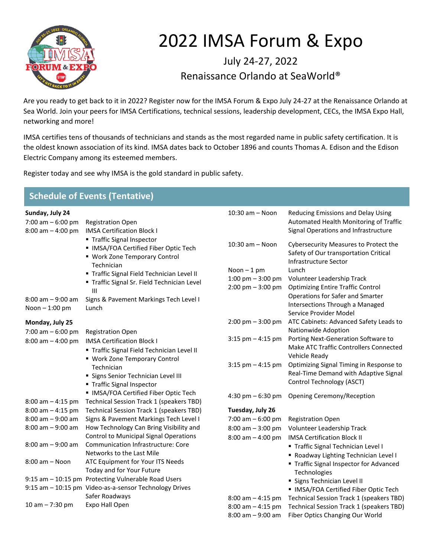

## 2022 IMSA Forum & Expo

July 24-27, 2022 Renaissance Orlando at SeaWorld®

Are you ready to get back to it in 2022? Register now for the IMSA Forum & Expo July 24-27 at the Renaissance Orlando at Sea World. Join your peers for IMSA Certifications, technical sessions, leadership development, CECs, the IMSA Expo Hall, networking and more!

IMSA certifies tens of thousands of technicians and stands as the most regarded name in public safety certification. It is the oldest known association of its kind. IMSA dates back to October 1896 and counts Thomas A. Edison and the Edison Electric Company among its esteemed members.

Register today and see why IMSA is the gold standard in public safety.

| <b>Schedule of Events (Tentative)</b>                         |                                                                                                                    |                                                                            |                                                                                                                      |  |
|---------------------------------------------------------------|--------------------------------------------------------------------------------------------------------------------|----------------------------------------------------------------------------|----------------------------------------------------------------------------------------------------------------------|--|
| Sunday, July 24<br>7:00 am $-6:00$ pm<br>$8:00$ am $-4:00$ pm | <b>Registration Open</b><br><b>IMSA Certification Block I</b>                                                      | 10:30 am - Noon                                                            | Reducing Emissions and Delay Using<br>Automated Health Monitoring of Traffic<br>Signal Operations and Infrastructure |  |
|                                                               | ■ Traffic Signal Inspector<br>• IMSA/FOA Certified Fiber Optic Tech<br>• Work Zone Temporary Control<br>Technician | 10:30 am - Noon                                                            | Cybersecurity Measures to Protect the<br>Safety of Our transportation Critical<br>Infrastructure Sector              |  |
|                                                               | " Traffic Signal Field Technician Level II<br>" Traffic Signal Sr. Field Technician Level<br>Ш                     | Noon $-1$ pm<br>1:00 pm $-$ 3:00 pm<br>$2:00 \text{ pm} - 3:00 \text{ pm}$ | Lunch<br>Volunteer Leadership Track<br><b>Optimizing Entire Traffic Control</b>                                      |  |
| $8:00$ am $-9:00$ am<br>Noon - 1:00 pm                        | Signs & Pavement Markings Tech Level I<br>Lunch                                                                    |                                                                            | Operations for Safer and Smarter<br>Intersections Through a Managed<br>Service Provider Model                        |  |
| Monday, July 25<br>7:00 am $-6:00$ pm                         |                                                                                                                    | $2:00 \text{ pm} - 3:00 \text{ pm}$                                        | ATC Cabinets: Advanced Safety Leads to<br>Nationwide Adoption                                                        |  |
| $8:00$ am $-4:00$ pm                                          | <b>Registration Open</b><br><b>IMSA Certification Block I</b><br>" Traffic Signal Field Technician Level II        | $3:15$ pm $-4:15$ pm                                                       | Porting Next-Generation Software to<br>Make ATC Traffic Controllers Connected<br>Vehicle Ready                       |  |
|                                                               | • Work Zone Temporary Control<br>Technician<br>• Signs Senior Technician Level III<br>■ Traffic Signal Inspector   | $3:15$ pm $-4:15$ pm                                                       | Optimizing Signal Timing in Response to<br>Real-Time Demand with Adaptive Signal<br>Control Technology (ASCT)        |  |
| $8:00$ am $-4:15$ pm                                          | • IMSA/FOA Certified Fiber Optic Tech<br>Technical Session Track 1 (speakers TBD)                                  | 4:30 pm $-6:30$ pm                                                         | Opening Ceremony/Reception                                                                                           |  |
| $8:00$ am $-4:15$ pm                                          | Technical Session Track 1 (speakers TBD)                                                                           | Tuesday, July 26                                                           |                                                                                                                      |  |
| $8:00$ am $-9:00$ am                                          | Signs & Pavement Markings Tech Level I                                                                             | $7:00$ am $-6:00$ pm                                                       | <b>Registration Open</b>                                                                                             |  |
| $8:00$ am $-9:00$ am                                          | How Technology Can Bring Visibility and                                                                            | $8:00$ am $-3:00$ pm                                                       | Volunteer Leadership Track                                                                                           |  |
|                                                               | <b>Control to Municipal Signal Operations</b>                                                                      | $8:00$ am $-4:00$ pm                                                       | <b>IMSA Certification Block II</b>                                                                                   |  |
| $8:00$ am $-9:00$ am                                          | Communication Infrastructure: Core<br>Networks to the Last Mile                                                    |                                                                            | Traffic Signal Technician Level I                                                                                    |  |
| $8:00$ am $-$ Noon                                            | ATC Equipment for Your ITS Needs<br>Today and for Your Future                                                      |                                                                            | Roadway Lighting Technician Level I<br>Traffic Signal Inspector for Advanced<br>Technologies                         |  |
|                                                               | 9:15 am - 10:15 pm Protecting Vulnerable Road Users                                                                |                                                                            | Signs Technician Level II                                                                                            |  |
|                                                               | 9:15 am - 10:15 pm Video-as-a-sensor Technology Drives                                                             |                                                                            | IMSA/FOA Certified Fiber Optic Tech                                                                                  |  |
|                                                               | Safer Roadways                                                                                                     | $8:00$ am $-4:15$ pm                                                       | Technical Session Track 1 (speakers TBD)                                                                             |  |
| $10 am - 7:30 pm$                                             | Expo Hall Open                                                                                                     | $8:00$ am $-4:15$ pm                                                       | Technical Session Track 1 (speakers TBD)                                                                             |  |
|                                                               |                                                                                                                    | $8:00$ am $-9:00$ am                                                       | Fiber Optics Changing Our World                                                                                      |  |